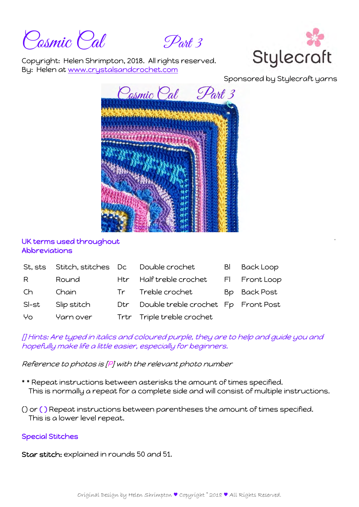Cosmic Cal Part 3



Copyright: Helen Shrimpton, 2018. All rights reserved. By: Helen at www.crystalsandcrochet.com

Sponsored by Stylecraft yarns



## UK terms used throughout Abbreviations

| St, sts | Stitch, stitches Dc |     | Double crochet                      | BI | <b>Back Loop</b> |
|---------|---------------------|-----|-------------------------------------|----|------------------|
| R.      | Round               |     | Htr Half treble crochet             |    | FI Front Loop    |
| Ch      | Chain               |     | Tr Treble crochet                   |    | Bp Back Post     |
| SI-st   | Slip stitch         | Dtr | Double treble crochet Fp Front Post |    |                  |
| Yo      | Yarn over           |     | Trtr Triple treble crochet          |    |                  |

## [] Hints: Are typed in italics and coloured purple, they are to help and guide you and hopefully make life a little easier, especially for beginners.

Reference to photos is [P] with the relevant photo number

- \* \* Repeat instructions between asterisks the amount of times specified. This is normally a repeat for a complete side and will consist of multiple instructions.
- () or ( ) Repeat instructions between parentheses the amount of times specified. This is a lower level repeat.

# Special Stitches

Star stitch: explained in rounds 50 and 51.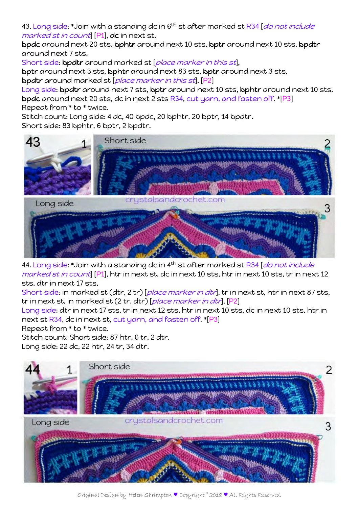43. Long side: \*Join with a standing dc in 6<sup>th</sup> st after marked st R34 [*do not include* marked st in count] [P1], dc in next st,

bpdc around next 20 sts, bphtr around next 10 sts, bptr around next 10 sts, bpdtr around next 7 sts,

Short side: bpdtr around marked st [place marker in this st],

bptr around next 3 sts, bphtr around next 83 sts, bptr around next 3 sts, bpdtr around marked st [place marker in this st], [P2]

Long side: bpdtr around next 7 sts, bptr around next 10 sts, bphtr around next 10 sts, bpdc around next 20 sts, dc in next 2 sts R34, cut yarn, and fasten off. \*[P3] Repeat from \* to \* twice.

Stitch count: Long side: 4 dc, 40 bpdc, 20 bphtr, 20 bptr, 14 bpdtr.

Short side: 83 bphtr, 6 bptr, 2 bpdtr.



44. Long side: \*Join with a standing dc in 4<sup>th</sup> st after marked st R34 [*do not include* marked st in count [P1], htr in next st, dc in next 10 sts, htr in next 10 sts, tr in next 12 sts, dtr in next 17 sts,

Short side: in marked st (dtr, 2 tr) [place marker in dtr], tr in next st, htr in next 87 sts, tr in next st, in marked st (2 tr, dtr) [place marker in dtr], [P2]

Long side: dtr in next 17 sts, tr in next 12 sts, htr in next 10 sts, dc in next 10 sts, htr in next st R34, dc in next st, cut yarn, and fasten off. \*[P3]

Repeat from \* to \* twice.

Stitch count: Short side: 87 htr, 6 tr, 2 dtr. Long side: 22 dc, 22 htr, 24 tr, 34 dtr.

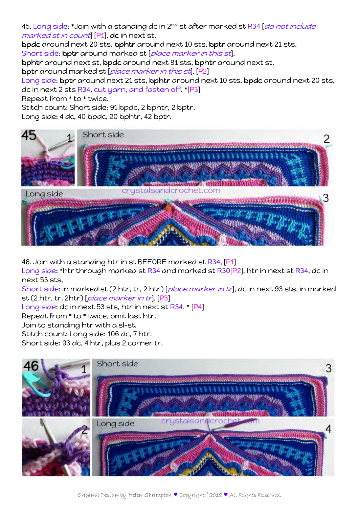45. Long side: \*Join with a standing dc in 2<sup>nd</sup> st after marked st R34 [*do not include* marked st in count] [P1], dc in next st,

bpdc around next 20 sts, bphtr around next 10 sts, bptr around next 21 sts, Short side: bptr around marked st [place marker in this st],

bphtr around next st, bpdc around next 91 sts, bphtr around next st,

bptr around marked st [place marker in this st], [P2]

Long side: bptr around next 21 sts, bphtr around next 10 sts, bpdc around next 20 sts, dc in next 2 sts R34, cut yarn, and fasten off. \*[P3]

Repeat from \* to \* twice.

Stitch count: Short side: 91 bpdc, 2 bphtr, 2 bptr.

Long side: 4 dc, 40 bpdc, 20 bphtr, 42 bptr.



46. Join with a standing htr in st BEFORE marked st R34, [P1]

Long side: \*htr through marked st R34 and marked st R30[P2], htr in next st R34, dc in next 53 sts,

Short side: in marked st (2 htr, tr, 2 htr) [place marker in tr], dc in next 93 sts, in marked st (2 htr, tr, 2htr) [place marker in tr], [P3]

Long side: dc in next 53 sts, htr in next st R34. \* [P4]

Repeat from \* to \* twice, omit last htr.

Join to standing htr with a sl-st.

Stitch count: Long side: 106 dc, 7 htr.

Short side: 93 dc, 4 htr, plus 2 corner tr.

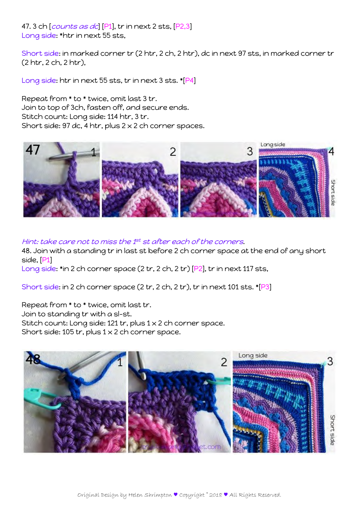47. 3 ch [*counts as dc*] [P1], tr in next 2 sts, [P2,3] Long side: \*htr in next 55 sts,

Short side: in marked corner tr (2 htr, 2 ch, 2 htr), dc in next 97 sts, in marked corner tr (2 htr, 2 ch, 2 htr),

Long side: htr in next 55 sts, tr in next 3 sts. \*[P4]

Repeat from \* to \* twice, omit last 3 tr. Join to top of 3ch, fasten off, and secure ends. Stitch count: Long side: 114 htr, 3 tr. Short side: 97 dc, 4 htr, plus  $2 \times 2$  ch corner spaces.



Hint: take care not to miss the 1st st after each of the corners.

48. Join with a standing tr in last st before 2 ch corner space at the end of any short side, [P1]

Long side: \*in 2 ch corner space (2 tr, 2 ch, 2 tr) [P2], tr in next 117 sts,

Short side: in 2 ch corner space (2 tr, 2 ch, 2 tr), tr in next 101 sts. \*[P3]

Repeat from \* to \* twice, omit last tr. Join to standing tr with a sl-st. Stitch count: Long side: 121 tr, plus 1 x 2 ch corner space. Short side: 105 tr, plus  $1 \times 2$  ch corner space.

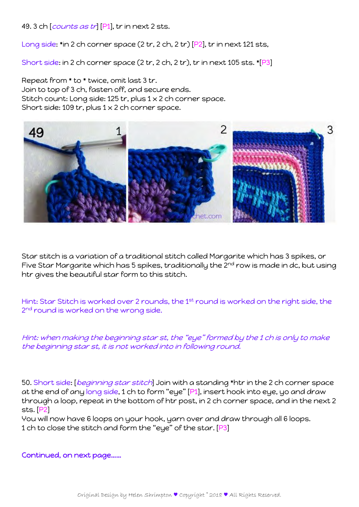49. 3 ch [*counts as tr*] [P1], tr in next 2 sts.

Long side: \*in 2 ch corner space (2 tr, 2 ch, 2 tr) [P2], tr in next 121 sts,

Short side: in 2 ch corner space (2 tr, 2 ch, 2 tr), tr in next 105 sts. \*[P3]

Repeat from \* to \* twice, omit last 3 tr. Join to top of 3 ch, fasten off, and secure ends. Stitch count: Long side: 125 tr, plus 1 x 2 ch corner space. Short side: 109 tr, plus  $1 \times 2$  ch corner space.



Star stitch is a variation of a traditional stitch called Margarite which has 3 spikes, or Five Star Margarite which has 5 spikes, traditionally the 2<sup>nd</sup> row is made in dc, but using htr gives the beautiful star form to this stitch.

Hint: Star Stitch is worked over 2 rounds, the 1st round is worked on the right side, the 2<sup>nd</sup> round is worked on the wrong side.

Hint: when making the beginning star st, the "eye" formed by the 1 ch is only to make the beginning star st, it is not worked into in following round.

50. Short side: [beginning star stitch] Join with a standing \*htr in the 2 ch corner space at the end of any long side, 1 ch to form "eye" [P1], insert hook into eye, yo and draw through a loop, repeat in the bottom of htr post, in 2 ch corner space, and in the next 2 sts. [P2]

You will now have 6 loops on your hook, yarn over and draw through all 6 loops. 1 ch to close the stitch and form the "eye" of the star. [P3]

Continued, on next page……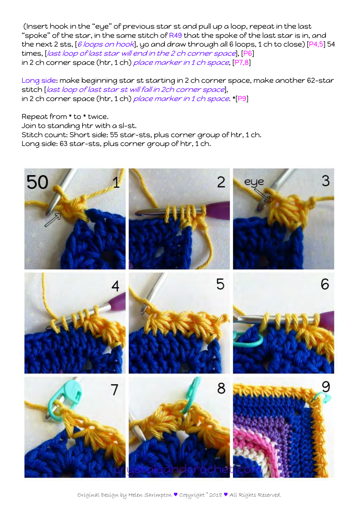(Insert hook in the "eye" of previous star st and pull up a loop, repeat in the last "spoke" of the star, in the same stitch of R49 that the spoke of the last star is in, and the next 2 sts, [6 loops on hook], yo and draw through all 6 loops, 1 ch to close) [P4,5] 54 times, [last loop of last star will end in the 2 ch corner space], [P6] in 2 ch corner space (htr, 1 ch) place marker in 1 ch space, [P7,8]

Long side: make beginning star st starting in 2 ch corner space, make another 62-star stitch *[last loop of last star st will fall in 2ch corner space*], in 2 ch corner space (htr, 1 ch) place marker in 1 ch space. \*[P9]

Repeat from \* to \* twice. Join to standing htr with a sl-st. Stitch count: Short side: 55 star-sts, plus corner group of htr, 1 ch. Long side: 63 star-sts, plus corner group of htr, 1 ch.

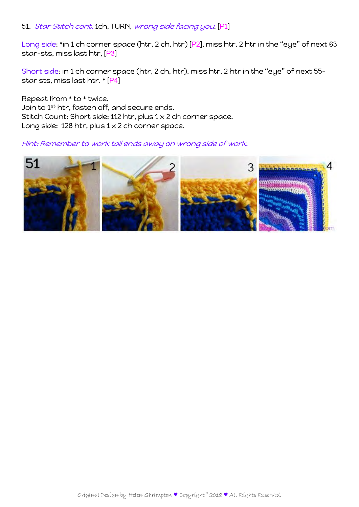#### 51. Star Stitch cont. 1ch, TURN, wrong side facing you. [P1]

Long side: \*in 1 ch corner space (htr, 2 ch, htr) [P2], miss htr, 2 htr in the "eye" of next 63 star-sts, miss last htr, [P3]

Short side: in 1 ch corner space (htr, 2 ch, htr), miss htr, 2 htr in the "eye" of next 55 star sts, miss last htr. \* [P4]

Repeat from \* to \* twice. Join to 1st htr, fasten off, and secure ends. Stitch Count: Short side: 112 htr, plus 1 x 2 ch corner space. Long side: 128 htr, plus 1 x 2 ch corner space.

#### Hint: Remember to work tail ends away on wrong side of work.

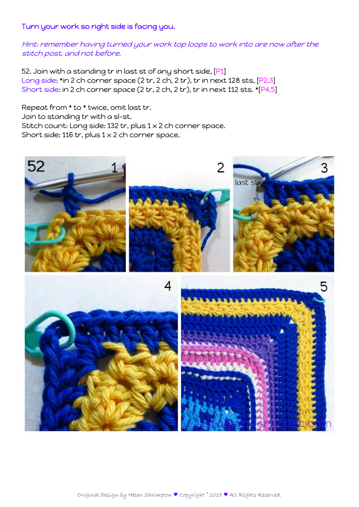## Turn your work so right side is facing you.

Hint: remember having turned your work top loops to work into are now after the stitch post, and not before.

52. Join with a standing tr in last st of any short side, [P1] Long side: \*in 2 ch corner space (2 tr, 2 ch, 2 tr), tr in next 128 sts, [P2,3] Short side: in 2 ch corner space (2 tr, 2 ch, 2 tr), tr in next 112 sts. \*[P4,5]

Repeat from \* to \* twice, omit last tr. Join to standing tr with a sl-st. Stitch count: Long side: 132 tr, plus 1 x 2 ch corner space. Short side: 116 tr, plus  $1 \times 2$  ch corner space.